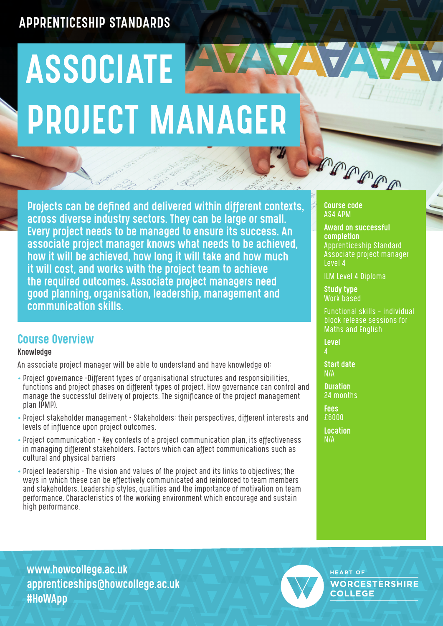## APPRENTICESHIP STANDARDS

# ASSOCIATE AVA PROJECT MANAGER

Projects can be defined and delivered within different contexts, across diverse industry sectors. They can be large or small. Every project needs to be managed to ensure its success. An associate project manager knows what needs to be achieved, how it will be achieved, how long it will take and how much it will cost, and works with the project team to achieve the required outcomes. Associate project managers need good planning, organisation, leadership, management and communication skills.

## Course Overview

#### Knowledge

An associate project manager will be able to understand and have knowledge of:

- Project governance -Different types of organisational structures and responsibilities, functions and project phases on different types of project. How governance can control and manage the successful delivery of projects. The significance of the project management plan (PMP).
- Project stakeholder management Stakeholders: their perspectives, different interests and levels of influence upon project outcomes.
- Project communication Key contexts of a project communication plan, its effectiveness in managing different stakeholders. Factors which can affect communications such as cultural and physical barriers
- Project leadership The vision and values of the project and its links to objectives; the ways in which these can be effectively communicated and reinforced to team members and stakeholders. Leadership styles, qualities and the importance of motivation on team performance. Characteristics of the working environment which encourage and sustain high performance.



Course code AS4 APM

Award on successful completion Apprenticeship Standard Associate project manager Level 4

ILM Level 4 Diploma

Study type Work based

Functional skills – individual block release sessions for Maths and English

Level  $\Lambda$ 

Start date N/A

**Duration** 24 months

**Fees** £6000 **Location** N/A

www.howcollege.ac.uk apprenticeships@howcollege.ac.uk #HoWApp



**HEART OF WORCESTERSHIRE COLLEGE**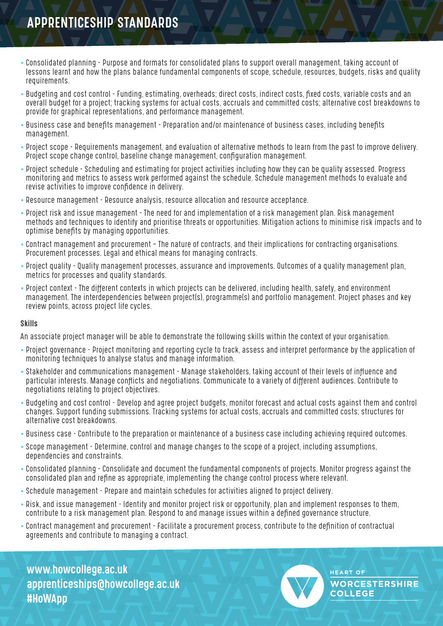## PPRENTICESHIP STANDARDS

- Consolidated planning Purpose and formats for consolidated plans to support overall management, taking account of lessons learnt and how the plans balance fundamental components of scope, schedule, resources, budgets, risks and quality requirements.
- Budgeting and cost control Funding, estimating, overheads; direct costs, indirect costs, fixed costs, variable costs and an overall budget for a project; tracking systems for actual costs, accruals and committed costs; alternative cost breakdowns to provide for graphical representations, and performance management.
- Business case and benefits management Preparation and/or maintenance of business cases, including benefits management.
- Project scope Requirements management, and evaluation of alternative methods to learn from the past to improve delivery. Project scope change control, baseline change management, configuration management.
- Project schedule Scheduling and estimating for project activities including how they can be quality assessed. Progress monitoring and metrics to assess work performed against the schedule. Schedule management methods to evaluate and revise activities to improve confidence in delivery.
- Resource management Resource analysis, resource allocation and resource acceptance.
- Project risk and issue management The need for and implementation of a risk management plan. Risk management methods and techniques to identify and prioritise threats or opportunities. Mitigation actions to minimise risk impacts and to optimise benefits by managing opportunities.
- Contract management and procurement The nature of contracts, and their implications for contracting organisations. Procurement processes. Legal and ethical means for managing contracts.
- Project quality Quality management processes, assurance and improvements. Outcomes of a quality management plan, metrics for processes and quality standards.
- Project context The different contexts in which projects can be delivered, including health, safety, and environment management. The interdependencies between project(s), programme(s) and portfolio management. Project phases and key review points, across project life cycles.

#### Skills

An associate project manager will be able to demonstrate the following skills within the context of your organisation.

- Project governance Project monitoring and reporting cycle to track, assess and interpret performance by the application of monitoring techniques to analyse status and manage information.
- Stakeholder and communications management Manage stakeholders, taking account of their levels of influence and particular interests. Manage conflicts and negotiations. Communicate to a variety of different audiences. Contribute to negotiations relating to project objectives.
- Budgeting and cost control Develop and agree project budgets, monitor forecast and actual costs against them and control changes. Support funding submissions. Tracking systems for actual costs, accruals and committed costs; structures for alternative cost breakdowns.
- Business case Contribute to the preparation or maintenance of a business case including achieving required outcomes.
- Scope management Determine, control and manage changes to the scope of a project, including assumptions, dependencies and constraints.
- Consolidated planning Consolidate and document the fundamental components of projects. Monitor progress against the consolidated plan and refine as appropriate, implementing the change control process where relevant.
- Schedule management Prepare and maintain schedules for activities aligned to project delivery.
- Risk, and issue management Identify and monitor project risk or opportunity, plan and implement responses to them, contribute to a risk management plan. Respond to and manage issues within a defined governance structure.
- Contract management and procurement Facilitate a procurement process, contribute to the definition of contractual agreements and contribute to managing a contract.

www.howcollege.ac.uk apprenticeships@howcollege.ac.uk #HoWApp



**HEART OF WORCESTERSHIRE COLLEGE**